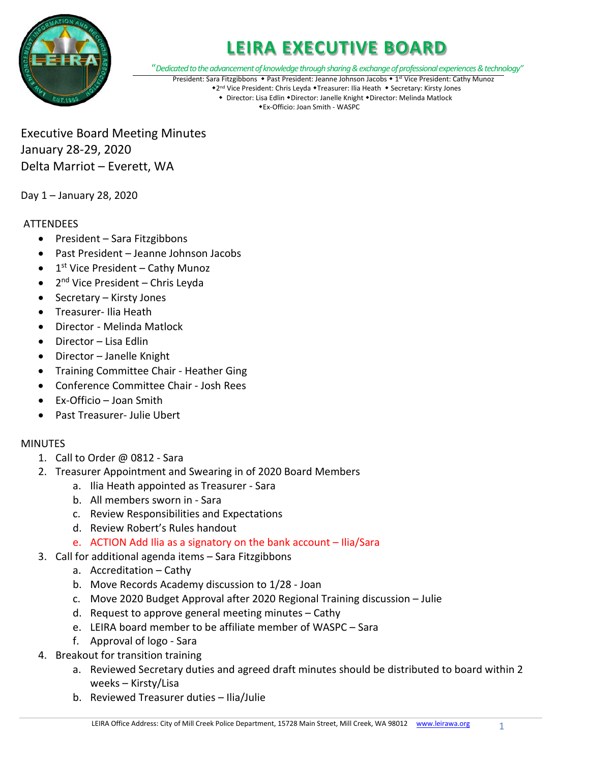

"*Dedicated to the advancement of knowledge through sharing & exchange of professional experiences & technology"*

President: Sara Fitzgibbons • Past President: Jeanne Johnson Jacobs • 1<sup>st</sup> Vice President: Cathy Munoz

\*2<sup>nd</sup> Vice President: Chris Leyda \*Treasurer: Ilia Heath \* Secretary: Kirsty Jones • Director: Lisa Edlin • Director: Janelle Knight • Director: Melinda Matlock Ex-Officio: Joan Smith - WASPC

Executive Board Meeting Minutes January 28-29, 2020 Delta Marriot – Everett, WA

Day 1 – January 28, 2020

#### **ATTENDEES**

- President Sara Fitzgibbons
- Past President Jeanne Johnson Jacobs
- $\bullet$  1<sup>st</sup> Vice President Cathy Munoz
- $\bullet$  2<sup>nd</sup> Vice President Chris Leyda
- Secretary Kirsty Jones
- Treasurer- Ilia Heath
- Director Melinda Matlock
- Director Lisa Edlin
- Director Janelle Knight
- Training Committee Chair Heather Ging
- Conference Committee Chair Josh Rees
- Ex-Officio Joan Smith
- Past Treasurer- Julie Ubert

#### MINUTES

- 1. Call to Order @ 0812 Sara
- 2. Treasurer Appointment and Swearing in of 2020 Board Members
	- a. Ilia Heath appointed as Treasurer Sara
	- b. All members sworn in Sara
	- c. Review Responsibilities and Expectations
	- d. Review Robert's Rules handout
	- e. ACTION Add Ilia as a signatory on the bank account Ilia/Sara
- 3. Call for additional agenda items Sara Fitzgibbons
	- a. Accreditation Cathy
	- b. Move Records Academy discussion to 1/28 Joan
	- c. Move 2020 Budget Approval after 2020 Regional Training discussion Julie
	- d. Request to approve general meeting minutes Cathy
	- e. LEIRA board member to be affiliate member of WASPC Sara
	- f. Approval of logo Sara
- 4. Breakout for transition training
	- a. Reviewed Secretary duties and agreed draft minutes should be distributed to board within 2 weeks – Kirsty/Lisa
	- b. Reviewed Treasurer duties Ilia/Julie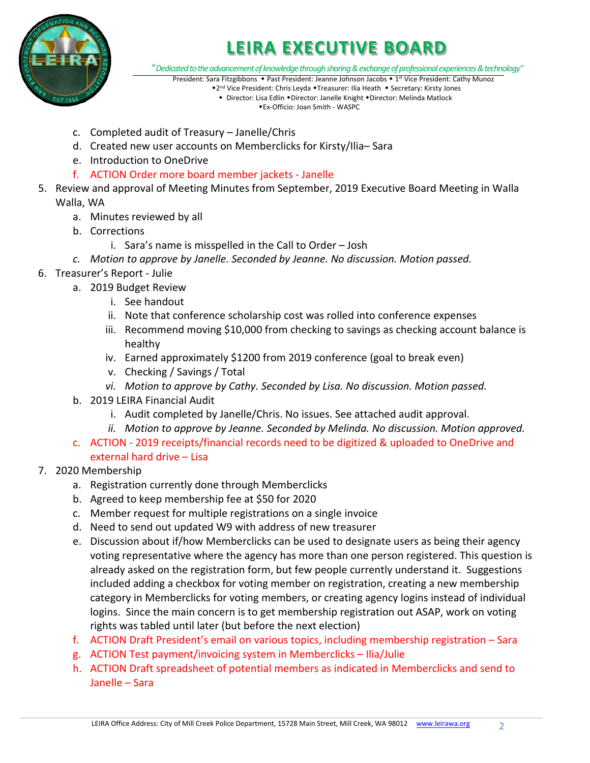

"*Dedicated to the advancement of knowledge through sharing & exchange of professional experiences & technology"*

- President: Sara Fitzgibbons Past President: Jeanne Johnson Jacobs 1<sup>st</sup> Vice President: Cathy Munoz \*2<sup>nd</sup> Vice President: Chris Leyda \*Treasurer: Ilia Heath \* Secretary: Kirsty Jones
	- Director: Lisa Edlin Director: Janelle Knight Director: Melinda Matlock Ex-Officio: Joan Smith - WASPC
- c. Completed audit of Treasury Janelle/Chris
- d. Created new user accounts on Memberclicks for Kirsty/Ilia– Sara
- e. Introduction to OneDrive
- f. ACTION Order more board member jackets Janelle
- 5. Review and approval of Meeting Minutes from September, 2019 Executive Board Meeting in Walla Walla, WA
	- a. Minutes reviewed by all
	- b. Corrections
		- i. Sara's name is misspelled in the Call to Order Josh
	- *c. Motion to approve by Janelle. Seconded by Jeanne. No discussion. Motion passed.*
- 6. Treasurer's Report Julie
	- a. 2019 Budget Review
		- i. See handout
		- ii. Note that conference scholarship cost was rolled into conference expenses
		- iii. Recommend moving \$10,000 from checking to savings as checking account balance is healthy
		- iv. Earned approximately \$1200 from 2019 conference (goal to break even)
		- v. Checking / Savings / Total
		- *vi. Motion to approve by Cathy. Seconded by Lisa. No discussion. Motion passed.*
	- b. 2019 LEIRA Financial Audit
		- i. Audit completed by Janelle/Chris. No issues. See attached audit approval.
		- *ii. Motion to approve by Jeanne. Seconded by Melinda. No discussion. Motion approved.*
	- c. ACTION 2019 receipts/financial records need to be digitized & uploaded to OneDrive and external hard drive – Lisa

#### 7. 2020 Membership

- a. Registration currently done through Memberclicks
- b. Agreed to keep membership fee at \$50 for 2020
- c. Member request for multiple registrations on a single invoice
- d. Need to send out updated W9 with address of new treasurer
- e. Discussion about if/how Memberclicks can be used to designate users as being their agency voting representative where the agency has more than one person registered. This question is already asked on the registration form, but few people currently understand it. Suggestions included adding a checkbox for voting member on registration, creating a new membership category in Memberclicks for voting members, or creating agency logins instead of individual logins. Since the main concern is to get membership registration out ASAP, work on voting rights was tabled until later (but before the next election)
- f. ACTION Draft President's email on various topics, including membership registration Sara
- g. ACTION Test payment/invoicing system in Memberclicks Ilia/Julie
- h. ACTION Draft spreadsheet of potential members as indicated in Memberclicks and send to Janelle – Sara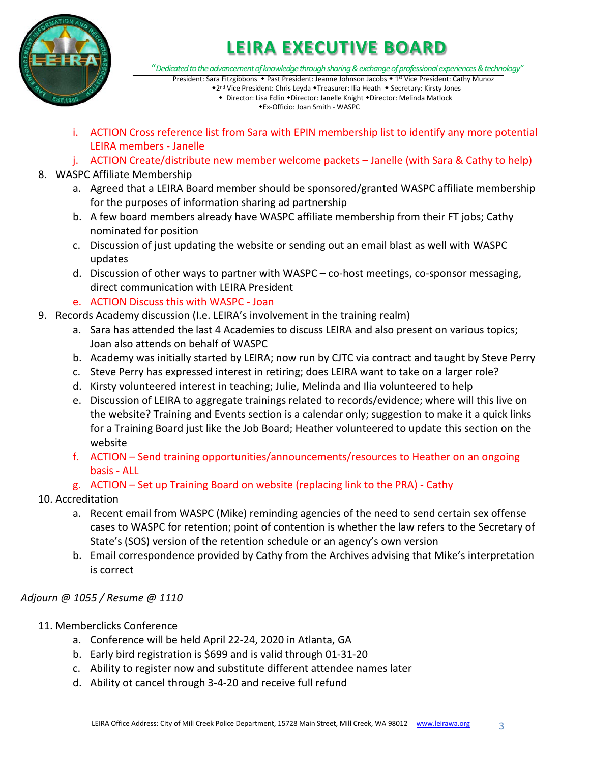

"*Dedicated to the advancement of knowledge through sharing & exchange of professional experiences & technology"*

- President: Sara Fitzgibbons Past President: Jeanne Johnson Jacobs 1<sup>st</sup> Vice President: Cathy Munoz \*2<sup>nd</sup> Vice President: Chris Leyda \*Treasurer: Ilia Heath \* Secretary: Kirsty Jones
	- Director: Lisa Edlin Director: Janelle Knight Director: Melinda Matlock Ex-Officio: Joan Smith - WASPC
- i. ACTION Cross reference list from Sara with EPIN membership list to identify any more potential LEIRA members - Janelle
- j. ACTION Create/distribute new member welcome packets Janelle (with Sara & Cathy to help)
- 8. WASPC Affiliate Membership
	- a. Agreed that a LEIRA Board member should be sponsored/granted WASPC affiliate membership for the purposes of information sharing ad partnership
	- b. A few board members already have WASPC affiliate membership from their FT jobs; Cathy nominated for position
	- c. Discussion of just updating the website or sending out an email blast as well with WASPC updates
	- d. Discussion of other ways to partner with WASPC co-host meetings, co-sponsor messaging, direct communication with LEIRA President
	- e. ACTION Discuss this with WASPC Joan
- 9. Records Academy discussion (I.e. LEIRA's involvement in the training realm)
	- a. Sara has attended the last 4 Academies to discuss LEIRA and also present on various topics; Joan also attends on behalf of WASPC
	- b. Academy was initially started by LEIRA; now run by CJTC via contract and taught by Steve Perry
	- c. Steve Perry has expressed interest in retiring; does LEIRA want to take on a larger role?
	- d. Kirsty volunteered interest in teaching; Julie, Melinda and Ilia volunteered to help
	- e. Discussion of LEIRA to aggregate trainings related to records/evidence; where will this live on the website? Training and Events section is a calendar only; suggestion to make it a quick links for a Training Board just like the Job Board; Heather volunteered to update this section on the website
	- f. ACTION Send training opportunities/announcements/resources to Heather on an ongoing basis - ALL
	- g. ACTION Set up Training Board on website (replacing link to the PRA) Cathy
- 10. Accreditation
	- a. Recent email from WASPC (Mike) reminding agencies of the need to send certain sex offense cases to WASPC for retention; point of contention is whether the law refers to the Secretary of State's (SOS) version of the retention schedule or an agency's own version
	- b. Email correspondence provided by Cathy from the Archives advising that Mike's interpretation is correct

### *Adjourn @ 1055 / Resume @ 1110*

- 11. Memberclicks Conference
	- a. Conference will be held April 22-24, 2020 in Atlanta, GA
	- b. Early bird registration is \$699 and is valid through 01-31-20
	- c. Ability to register now and substitute different attendee names later
	- d. Ability ot cancel through 3-4-20 and receive full refund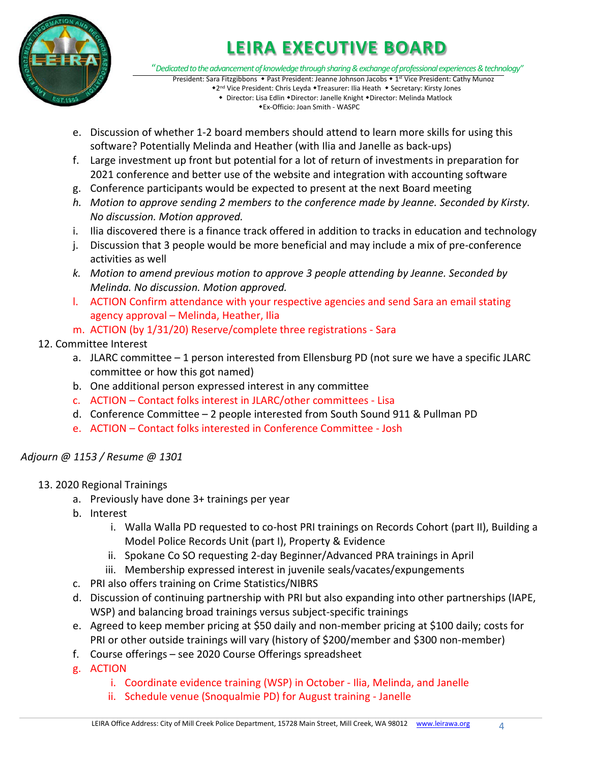

"*Dedicated to the advancement of knowledge through sharing & exchange of professional experiences & technology"*

- President: Sara Fitzgibbons Past President: Jeanne Johnson Jacobs 1<sup>st</sup> Vice President: Cathy Munoz \*2<sup>nd</sup> Vice President: Chris Leyda \*Treasurer: Ilia Heath \* Secretary: Kirsty Jones • Director: Lisa Edlin • Director: Janelle Knight • Director: Melinda Matlock Ex-Officio: Joan Smith - WASPC
- e. Discussion of whether 1-2 board members should attend to learn more skills for using this software? Potentially Melinda and Heather (with Ilia and Janelle as back-ups)
- f. Large investment up front but potential for a lot of return of investments in preparation for 2021 conference and better use of the website and integration with accounting software
- g. Conference participants would be expected to present at the next Board meeting
- *h. Motion to approve sending 2 members to the conference made by Jeanne. Seconded by Kirsty. No discussion. Motion approved.*
- i. Ilia discovered there is a finance track offered in addition to tracks in education and technology
- j. Discussion that 3 people would be more beneficial and may include a mix of pre-conference activities as well
- *k. Motion to amend previous motion to approve 3 people attending by Jeanne. Seconded by Melinda. No discussion. Motion approved.*
- l. ACTION Confirm attendance with your respective agencies and send Sara an email stating agency approval – Melinda, Heather, Ilia
- m. ACTION (by 1/31/20) Reserve/complete three registrations Sara

### 12. Committee Interest

- a. JLARC committee 1 person interested from Ellensburg PD (not sure we have a specific JLARC committee or how this got named)
- b. One additional person expressed interest in any committee
- c. ACTION Contact folks interest in JLARC/other committees Lisa
- d. Conference Committee 2 people interested from South Sound 911 & Pullman PD
- e. ACTION Contact folks interested in Conference Committee Josh

### *Adjourn @ 1153 / Resume @ 1301*

- 13. 2020 Regional Trainings
	- a. Previously have done 3+ trainings per year
	- b. Interest
		- i. Walla Walla PD requested to co-host PRI trainings on Records Cohort (part II), Building a Model Police Records Unit (part I), Property & Evidence
		- ii. Spokane Co SO requesting 2-day Beginner/Advanced PRA trainings in April
		- iii. Membership expressed interest in juvenile seals/vacates/expungements
	- c. PRI also offers training on Crime Statistics/NIBRS
	- d. Discussion of continuing partnership with PRI but also expanding into other partnerships (IAPE, WSP) and balancing broad trainings versus subject-specific trainings
	- e. Agreed to keep member pricing at \$50 daily and non-member pricing at \$100 daily; costs for PRI or other outside trainings will vary (history of \$200/member and \$300 non-member)
	- f. Course offerings see 2020 Course Offerings spreadsheet
	- g. ACTION
		- i. Coordinate evidence training (WSP) in October Ilia, Melinda, and Janelle
		- ii. Schedule venue (Snoqualmie PD) for August training Janelle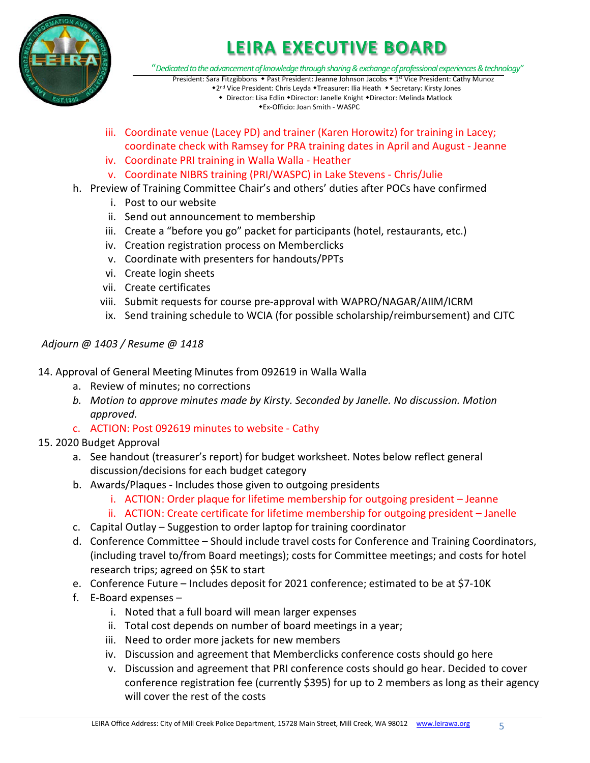

"*Dedicated to the advancement of knowledge through sharing & exchange of professional experiences & technology"*

President: Sara Fitzgibbons • Past President: Jeanne Johnson Jacobs • 1<sup>st</sup> Vice President: Cathy Munoz \*2<sup>nd</sup> Vice President: Chris Leyda \*Treasurer: Ilia Heath \* Secretary: Kirsty Jones • Director: Lisa Edlin • Director: Janelle Knight • Director: Melinda Matlock

Ex-Officio: Joan Smith - WASPC

- iii. Coordinate venue (Lacey PD) and trainer (Karen Horowitz) for training in Lacey; coordinate check with Ramsey for PRA training dates in April and August - Jeanne
- iv. Coordinate PRI training in Walla Walla Heather
- v. Coordinate NIBRS training (PRI/WASPC) in Lake Stevens Chris/Julie
- h. Preview of Training Committee Chair's and others' duties after POCs have confirmed
	- i. Post to our website
	- ii. Send out announcement to membership
	- iii. Create a "before you go" packet for participants (hotel, restaurants, etc.)
	- iv. Creation registration process on Memberclicks
	- v. Coordinate with presenters for handouts/PPTs
	- vi. Create login sheets
	- vii. Create certificates
	- viii. Submit requests for course pre-approval with WAPRO/NAGAR/AIIM/ICRM
	- ix. Send training schedule to WCIA (for possible scholarship/reimbursement) and CJTC

*Adjourn @ 1403 / Resume @ 1418*

- 14. Approval of General Meeting Minutes from 092619 in Walla Walla
	- a. Review of minutes; no corrections
	- *b. Motion to approve minutes made by Kirsty. Seconded by Janelle. No discussion. Motion approved.*
	- c. ACTION: Post 092619 minutes to website Cathy

#### 15. 2020 Budget Approval

- a. See handout (treasurer's report) for budget worksheet. Notes below reflect general discussion/decisions for each budget category
- b. Awards/Plaques Includes those given to outgoing presidents
	- i. ACTION: Order plaque for lifetime membership for outgoing president Jeanne
	- ii. ACTION: Create certificate for lifetime membership for outgoing president Janelle
- c. Capital Outlay Suggestion to order laptop for training coordinator
- d. Conference Committee Should include travel costs for Conference and Training Coordinators, (including travel to/from Board meetings); costs for Committee meetings; and costs for hotel research trips; agreed on \$5K to start
- e. Conference Future Includes deposit for 2021 conference; estimated to be at \$7-10K
- f. E-Board expenses
	- i. Noted that a full board will mean larger expenses
	- ii. Total cost depends on number of board meetings in a year;
	- iii. Need to order more jackets for new members
	- iv. Discussion and agreement that Memberclicks conference costs should go here
	- v. Discussion and agreement that PRI conference costs should go hear. Decided to cover conference registration fee (currently \$395) for up to 2 members as long as their agency will cover the rest of the costs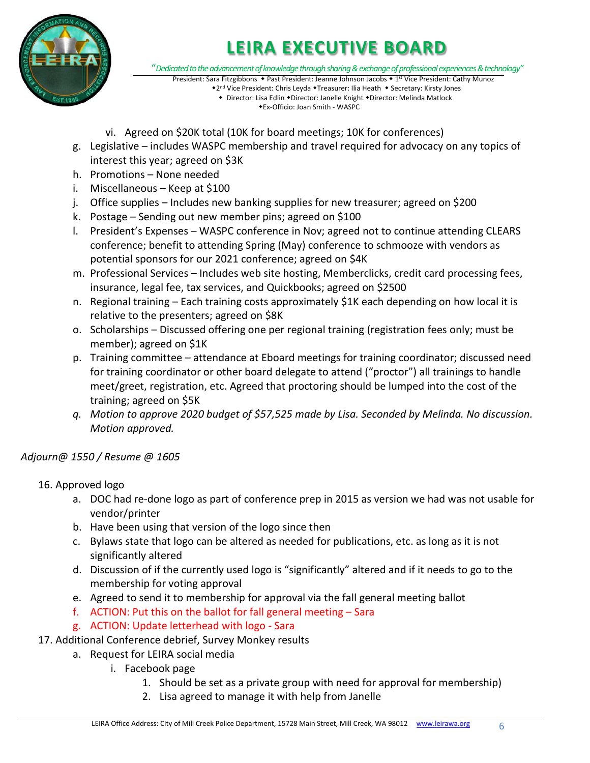

"*Dedicated to the advancement of knowledge through sharing & exchange of professional experiences & technology"*

President: Sara Fitzgibbons • Past President: Jeanne Johnson Jacobs • 1<sup>st</sup> Vice President: Cathy Munoz \*2<sup>nd</sup> Vice President: Chris Leyda \*Treasurer: Ilia Heath \* Secretary: Kirsty Jones • Director: Lisa Edlin • Director: Janelle Knight • Director: Melinda Matlock

Ex-Officio: Joan Smith - WASPC

- vi. Agreed on \$20K total (10K for board meetings; 10K for conferences)
- g. Legislative includes WASPC membership and travel required for advocacy on any topics of interest this year; agreed on \$3K
- h. Promotions None needed
- i. Miscellaneous Keep at \$100
- j. Office supplies Includes new banking supplies for new treasurer; agreed on \$200
- k. Postage Sending out new member pins; agreed on \$100
- l. President's Expenses WASPC conference in Nov; agreed not to continue attending CLEARS conference; benefit to attending Spring (May) conference to schmooze with vendors as potential sponsors for our 2021 conference; agreed on \$4K
- m. Professional Services Includes web site hosting, Memberclicks, credit card processing fees, insurance, legal fee, tax services, and Quickbooks; agreed on \$2500
- n. Regional training Each training costs approximately \$1K each depending on how local it is relative to the presenters; agreed on \$8K
- o. Scholarships Discussed offering one per regional training (registration fees only; must be member); agreed on \$1K
- p. Training committee attendance at Eboard meetings for training coordinator; discussed need for training coordinator or other board delegate to attend ("proctor") all trainings to handle meet/greet, registration, etc. Agreed that proctoring should be lumped into the cost of the training; agreed on \$5K
- *q. Motion to approve 2020 budget of \$57,525 made by Lisa. Seconded by Melinda. No discussion. Motion approved.*

### *Adjourn@ 1550 / Resume @ 1605*

16. Approved logo

- a. DOC had re-done logo as part of conference prep in 2015 as version we had was not usable for vendor/printer
- b. Have been using that version of the logo since then
- c. Bylaws state that logo can be altered as needed for publications, etc. as long as it is not significantly altered
- d. Discussion of if the currently used logo is "significantly" altered and if it needs to go to the membership for voting approval
- e. Agreed to send it to membership for approval via the fall general meeting ballot
- f. ACTION: Put this on the ballot for fall general meeting Sara
- g. ACTION: Update letterhead with logo Sara
- 17. Additional Conference debrief, Survey Monkey results
	- a. Request for LEIRA social media
		- i. Facebook page
			- 1. Should be set as a private group with need for approval for membership)
			- 2. Lisa agreed to manage it with help from Janelle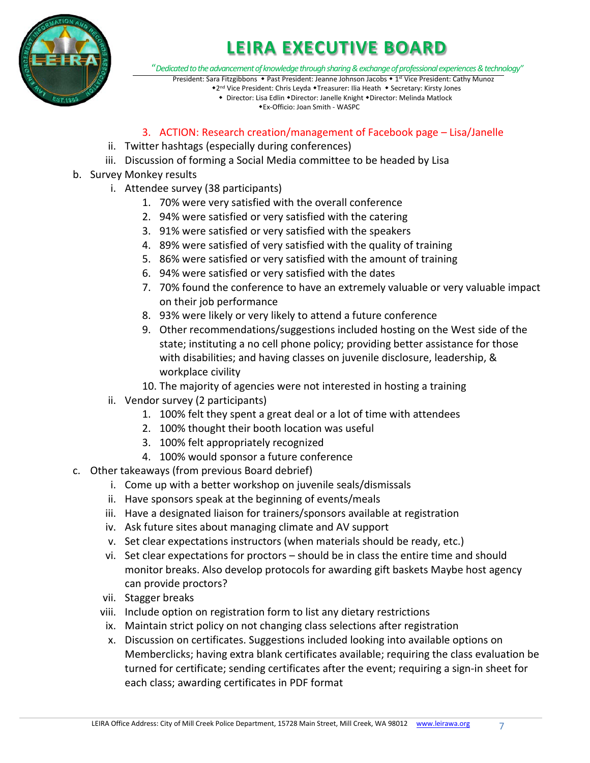

"*Dedicated to the advancement of knowledge through sharing & exchange of professional experiences & technology"*

- President: Sara Fitzgibbons Past President: Jeanne Johnson Jacobs 1<sup>st</sup> Vice President: Cathy Munoz \*2<sup>nd</sup> Vice President: Chris Leyda \*Treasurer: Ilia Heath \* Secretary: Kirsty Jones
	- Director: Lisa Edlin Director: Janelle Knight Director: Melinda Matlock Ex-Officio: Joan Smith - WASPC

### 3. ACTION: Research creation/management of Facebook page – Lisa/Janelle

- ii. Twitter hashtags (especially during conferences)
- iii. Discussion of forming a Social Media committee to be headed by Lisa
- b. Survey Monkey results
	- i. Attendee survey (38 participants)
		- 1. 70% were very satisfied with the overall conference
		- 2. 94% were satisfied or very satisfied with the catering
		- 3. 91% were satisfied or very satisfied with the speakers
		- 4. 89% were satisfied of very satisfied with the quality of training
		- 5. 86% were satisfied or very satisfied with the amount of training
		- 6. 94% were satisfied or very satisfied with the dates
		- 7. 70% found the conference to have an extremely valuable or very valuable impact on their job performance
		- 8. 93% were likely or very likely to attend a future conference
		- 9. Other recommendations/suggestions included hosting on the West side of the state; instituting a no cell phone policy; providing better assistance for those with disabilities; and having classes on juvenile disclosure, leadership, & workplace civility
		- 10. The majority of agencies were not interested in hosting a training
	- ii. Vendor survey (2 participants)
		- 1. 100% felt they spent a great deal or a lot of time with attendees
		- 2. 100% thought their booth location was useful
		- 3. 100% felt appropriately recognized
		- 4. 100% would sponsor a future conference
- c. Other takeaways (from previous Board debrief)
	- i. Come up with a better workshop on juvenile seals/dismissals
	- ii. Have sponsors speak at the beginning of events/meals
	- iii. Have a designated liaison for trainers/sponsors available at registration
	- iv. Ask future sites about managing climate and AV support
	- v. Set clear expectations instructors (when materials should be ready, etc.)
	- vi. Set clear expectations for proctors should be in class the entire time and should monitor breaks. Also develop protocols for awarding gift baskets Maybe host agency can provide proctors?
	- vii. Stagger breaks
	- viii. Include option on registration form to list any dietary restrictions
	- ix. Maintain strict policy on not changing class selections after registration
	- x. Discussion on certificates. Suggestions included looking into available options on Memberclicks; having extra blank certificates available; requiring the class evaluation be turned for certificate; sending certificates after the event; requiring a sign-in sheet for each class; awarding certificates in PDF format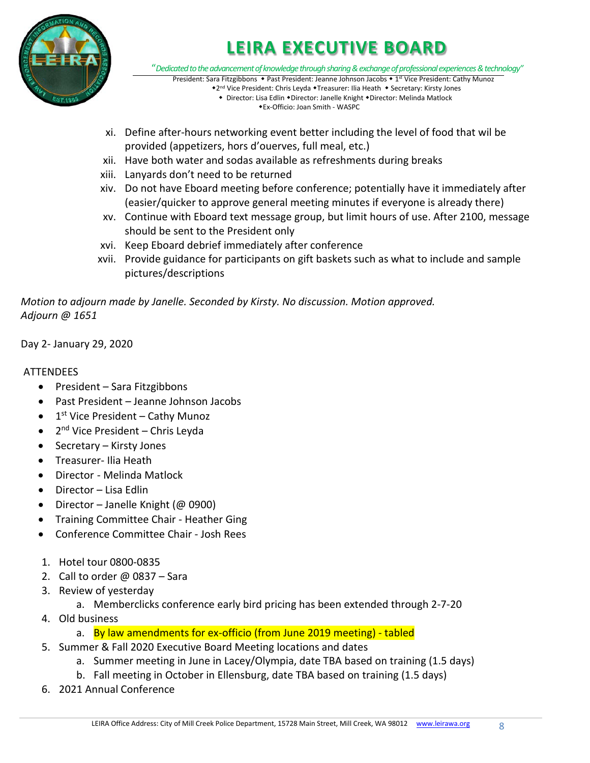

"*Dedicated to the advancement of knowledge through sharing & exchange of professional experiences & technology"* President: Sara Fitzgibbons • Past President: Jeanne Johnson Jacobs • 1<sup>st</sup> Vice President: Cathy Munoz

\*2<sup>nd</sup> Vice President: Chris Leyda \*Treasurer: Ilia Heath \* Secretary: Kirsty Jones • Director: Lisa Edlin • Director: Janelle Knight • Director: Melinda Matlock

Ex-Officio: Joan Smith - WASPC

- xi. Define after-hours networking event better including the level of food that wil be provided (appetizers, hors d'ouerves, full meal, etc.)
- xii. Have both water and sodas available as refreshments during breaks
- xiii. Lanyards don't need to be returned
- xiv. Do not have Eboard meeting before conference; potentially have it immediately after (easier/quicker to approve general meeting minutes if everyone is already there)
- xv. Continue with Eboard text message group, but limit hours of use. After 2100, message should be sent to the President only
- xvi. Keep Eboard debrief immediately after conference
- xvii. Provide guidance for participants on gift baskets such as what to include and sample pictures/descriptions

*Motion to adjourn made by Janelle. Seconded by Kirsty. No discussion. Motion approved. Adjourn @ 1651*

Day 2- January 29, 2020

### **ATTENDEES**

- President Sara Fitzgibbons
- Past President Jeanne Johnson Jacobs
- $\bullet$  1<sup>st</sup> Vice President Cathy Munoz
- $\bullet$  2<sup>nd</sup> Vice President Chris Leyda
- Secretary Kirsty Jones
- Treasurer- Ilia Heath
- Director Melinda Matlock
- Director Lisa Edlin
- Director Janelle Knight (@ 0900)
- Training Committee Chair Heather Ging
- Conference Committee Chair Josh Rees
- 1. Hotel tour 0800-0835
- 2. Call to order  $\omega$  0837 Sara
- 3. Review of yesterday
	- a. Memberclicks conference early bird pricing has been extended through 2-7-20
- 4. Old business
	- a. By law amendments for ex-officio (from June 2019 meeting) tabled
- 5. Summer & Fall 2020 Executive Board Meeting locations and dates
	- a. Summer meeting in June in Lacey/Olympia, date TBA based on training (1.5 days)
	- b. Fall meeting in October in Ellensburg, date TBA based on training (1.5 days)
- 6. 2021 Annual Conference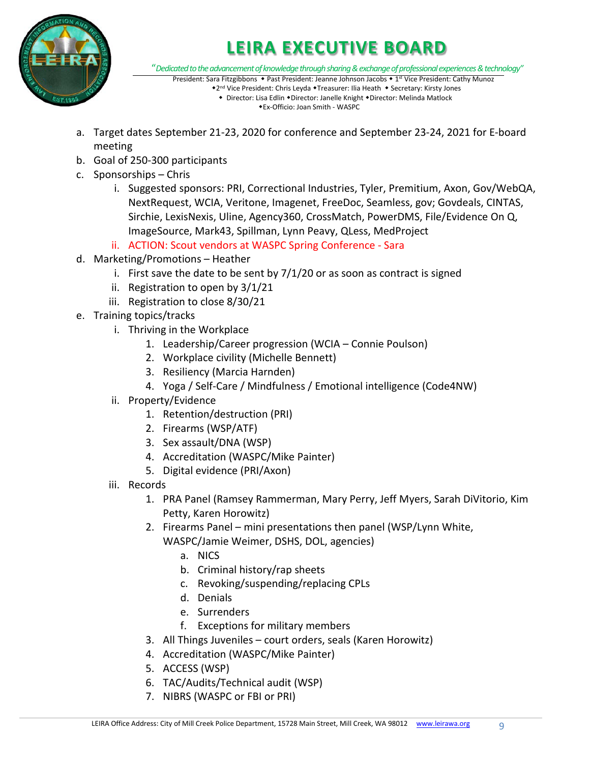

"*Dedicated to the advancement of knowledge through sharing & exchange of professional experiences & technology"*

- President: Sara Fitzgibbons Past President: Jeanne Johnson Jacobs 1<sup>st</sup> Vice President: Cathy Munoz \*2<sup>nd</sup> Vice President: Chris Leyda \*Treasurer: Ilia Heath \* Secretary: Kirsty Jones
	- Director: Lisa Edlin Director: Janelle Knight Director: Melinda Matlock Ex-Officio: Joan Smith - WASPC
- a. Target dates September 21-23, 2020 for conference and September 23-24, 2021 for E-board meeting
- b. Goal of 250-300 participants
- c. Sponsorships Chris
	- i. Suggested sponsors: PRI, Correctional Industries, Tyler, Premitium, Axon, Gov/WebQA, NextRequest, WCIA, Veritone, Imagenet, FreeDoc, Seamless, gov; Govdeals, CINTAS, Sirchie, LexisNexis, Uline, Agency360, CrossMatch, PowerDMS, File/Evidence On Q, ImageSource, Mark43, Spillman, Lynn Peavy, QLess, MedProject
	- ii. ACTION: Scout vendors at WASPC Spring Conference Sara
- d. Marketing/Promotions Heather
	- i. First save the date to be sent by  $7/1/20$  or as soon as contract is signed
	- ii. Registration to open by 3/1/21
	- iii. Registration to close 8/30/21
- e. Training topics/tracks
	- i. Thriving in the Workplace
		- 1. Leadership/Career progression (WCIA Connie Poulson)
		- 2. Workplace civility (Michelle Bennett)
		- 3. Resiliency (Marcia Harnden)
		- 4. Yoga / Self-Care / Mindfulness / Emotional intelligence (Code4NW)
	- ii. Property/Evidence
		- 1. Retention/destruction (PRI)
		- 2. Firearms (WSP/ATF)
		- 3. Sex assault/DNA (WSP)
		- 4. Accreditation (WASPC/Mike Painter)
		- 5. Digital evidence (PRI/Axon)
	- iii. Records
		- 1. PRA Panel (Ramsey Rammerman, Mary Perry, Jeff Myers, Sarah DiVitorio, Kim Petty, Karen Horowitz)
		- 2. Firearms Panel mini presentations then panel (WSP/Lynn White, WASPC/Jamie Weimer, DSHS, DOL, agencies)
			- a. NICS
			- b. Criminal history/rap sheets
			- c. Revoking/suspending/replacing CPLs
			- d. Denials
			- e. Surrenders
			- f. Exceptions for military members
		- 3. All Things Juveniles court orders, seals (Karen Horowitz)
		- 4. Accreditation (WASPC/Mike Painter)
		- 5. ACCESS (WSP)
		- 6. TAC/Audits/Technical audit (WSP)
		- 7. NIBRS (WASPC or FBI or PRI)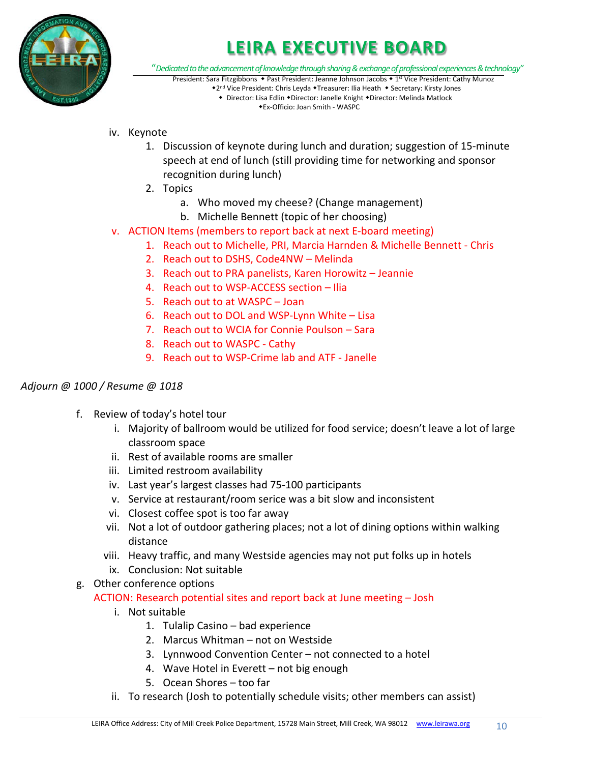

"*Dedicated to the advancement of knowledge through sharing & exchange of professional experiences & technology"*

- President: Sara Fitzgibbons Past President: Jeanne Johnson Jacobs 1<sup>st</sup> Vice President: Cathy Munoz \*2<sup>nd</sup> Vice President: Chris Leyda \*Treasurer: Ilia Heath \* Secretary: Kirsty Jones
	- Director: Lisa Edlin Director: Janelle Knight Director: Melinda Matlock Ex-Officio: Joan Smith - WASPC
- iv. Keynote
	- 1. Discussion of keynote during lunch and duration; suggestion of 15-minute speech at end of lunch (still providing time for networking and sponsor recognition during lunch)
	- 2. Topics
		- a. Who moved my cheese? (Change management)
		- b. Michelle Bennett (topic of her choosing)
- v. ACTION Items (members to report back at next E-board meeting)
	- 1. Reach out to Michelle, PRI, Marcia Harnden & Michelle Bennett Chris
	- 2. Reach out to DSHS, Code4NW Melinda
	- 3. Reach out to PRA panelists, Karen Horowitz Jeannie
	- 4. Reach out to WSP-ACCESS section Ilia
	- 5. Reach out to at WASPC Joan
	- 6. Reach out to DOL and WSP-Lynn White Lisa
	- 7. Reach out to WCIA for Connie Poulson Sara
	- 8. Reach out to WASPC Cathy
	- 9. Reach out to WSP-Crime lab and ATF Janelle

#### *Adjourn @ 1000 / Resume @ 1018*

- f. Review of today's hotel tour
	- i. Majority of ballroom would be utilized for food service; doesn't leave a lot of large classroom space
	- ii. Rest of available rooms are smaller
	- iii. Limited restroom availability
	- iv. Last year's largest classes had 75-100 participants
	- v. Service at restaurant/room serice was a bit slow and inconsistent
	- vi. Closest coffee spot is too far away
	- vii. Not a lot of outdoor gathering places; not a lot of dining options within walking distance
	- viii. Heavy traffic, and many Westside agencies may not put folks up in hotels
	- ix. Conclusion: Not suitable
- g. Other conference options ACTION: Research potential sites and report back at June meeting – Josh
	- i. Not suitable
		- 1. Tulalip Casino bad experience
		- 2. Marcus Whitman not on Westside
		- 3. Lynnwood Convention Center not connected to a hotel
		- 4. Wave Hotel in Everett not big enough
		- 5. Ocean Shores too far
	- ii. To research (Josh to potentially schedule visits; other members can assist)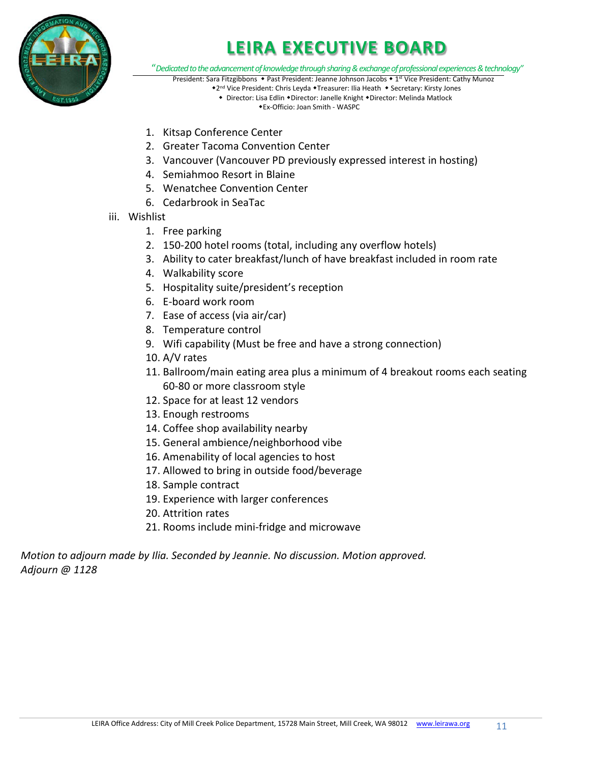

"*Dedicated to the advancement of knowledge through sharing & exchange of professional experiences & technology"*

- President: Sara Fitzgibbons Past President: Jeanne Johnson Jacobs 1<sup>st</sup> Vice President: Cathy Munoz \*2<sup>nd</sup> Vice President: Chris Leyda \*Treasurer: Ilia Heath \* Secretary: Kirsty Jones
	- Director: Lisa Edlin Director: Janelle Knight Director: Melinda Matlock Ex-Officio: Joan Smith - WASPC
- 1. Kitsap Conference Center
- 2. Greater Tacoma Convention Center
- 3. Vancouver (Vancouver PD previously expressed interest in hosting)
- 4. Semiahmoo Resort in Blaine
- 5. Wenatchee Convention Center
- 6. Cedarbrook in SeaTac
- iii. Wishlist
	- 1. Free parking
	- 2. 150-200 hotel rooms (total, including any overflow hotels)
	- 3. Ability to cater breakfast/lunch of have breakfast included in room rate
	- 4. Walkability score
	- 5. Hospitality suite/president's reception
	- 6. E-board work room
	- 7. Ease of access (via air/car)
	- 8. Temperature control
	- 9. Wifi capability (Must be free and have a strong connection)
	- 10. A/V rates
	- 11. Ballroom/main eating area plus a minimum of 4 breakout rooms each seating 60-80 or more classroom style
	- 12. Space for at least 12 vendors
	- 13. Enough restrooms
	- 14. Coffee shop availability nearby
	- 15. General ambience/neighborhood vibe
	- 16. Amenability of local agencies to host
	- 17. Allowed to bring in outside food/beverage
	- 18. Sample contract
	- 19. Experience with larger conferences
	- 20. Attrition rates
	- 21. Rooms include mini-fridge and microwave

*Motion to adjourn made by Ilia. Seconded by Jeannie. No discussion. Motion approved. Adjourn @ 1128*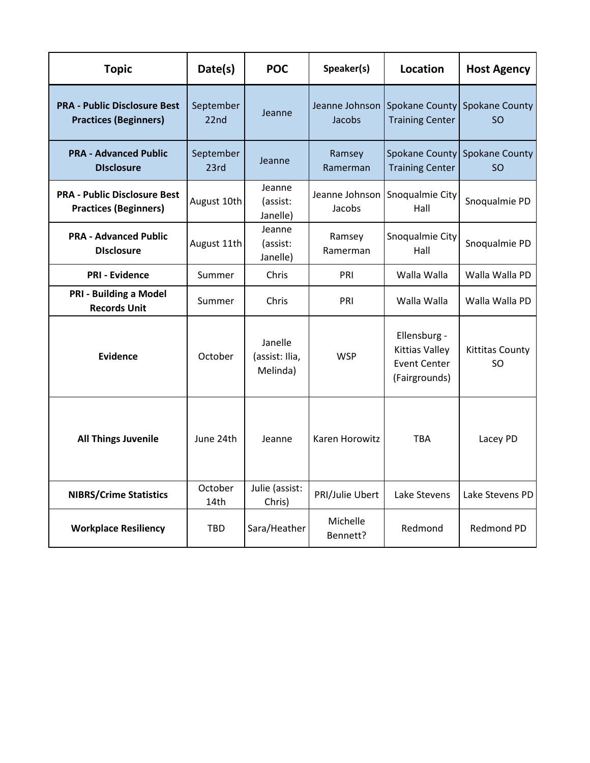| <b>Topic</b>                                                        | Date(s)                                          | <b>POC</b>                     | Speaker(s)               | <b>Location</b>                                                               | <b>Host Agency</b>                  |
|---------------------------------------------------------------------|--------------------------------------------------|--------------------------------|--------------------------|-------------------------------------------------------------------------------|-------------------------------------|
| <b>PRA - Public Disclosure Best</b><br><b>Practices (Beginners)</b> | September<br>22nd                                | Jeanne                         | Jeanne Johnson<br>Jacobs | Spokane County<br><b>Training Center</b>                                      | <b>Spokane County</b><br>SO.        |
| <b>PRA - Advanced Public</b><br><b>Disclosure</b>                   | September<br>23rd                                | Jeanne                         | Ramsey<br>Ramerman       | <b>Spokane County</b><br><b>Training Center</b>                               | Spokane County<br><b>SO</b>         |
| <b>PRA - Public Disclosure Best</b><br><b>Practices (Beginners)</b> | August 10th                                      | Jeanne<br>(assist:<br>Janelle) | Jacobs                   | Jeanne Johnson Snoqualmie City<br>Hall                                        | Snoqualmie PD                       |
| <b>PRA - Advanced Public</b><br><b>Disclosure</b>                   | August 11th                                      | Jeanne<br>(assist:<br>Janelle) | Ramsey<br>Ramerman       | Snoqualmie City<br>Hall                                                       | Snoqualmie PD                       |
| <b>PRI - Evidence</b>                                               | Summer                                           | Chris                          | PRI                      | Walla Walla                                                                   | Walla Walla PD                      |
| <b>PRI - Building a Model</b><br><b>Records Unit</b>                | Summer                                           | Chris                          | PRI                      | Walla Walla                                                                   | Walla Walla PD                      |
| Evidence                                                            | Janelle<br>October<br>(assist: Ilia,<br>Melinda) |                                | <b>WSP</b>               | Ellensburg -<br><b>Kittias Valley</b><br><b>Event Center</b><br>(Fairgrounds) | <b>Kittitas County</b><br><b>SO</b> |
| <b>All Things Juvenile</b>                                          | June 24th<br>Jeanne                              |                                | <b>Karen Horowitz</b>    | <b>TBA</b>                                                                    | Lacey PD                            |
| <b>NIBRS/Crime Statistics</b>                                       | October<br>14th                                  | Julie (assist:<br>Chris)       | PRI/Julie Ubert          | Lake Stevens                                                                  | Lake Stevens PD                     |
| <b>Workplace Resiliency</b>                                         | <b>TBD</b>                                       | Sara/Heather                   | Michelle<br>Bennett?     | Redmond                                                                       | Redmond PD                          |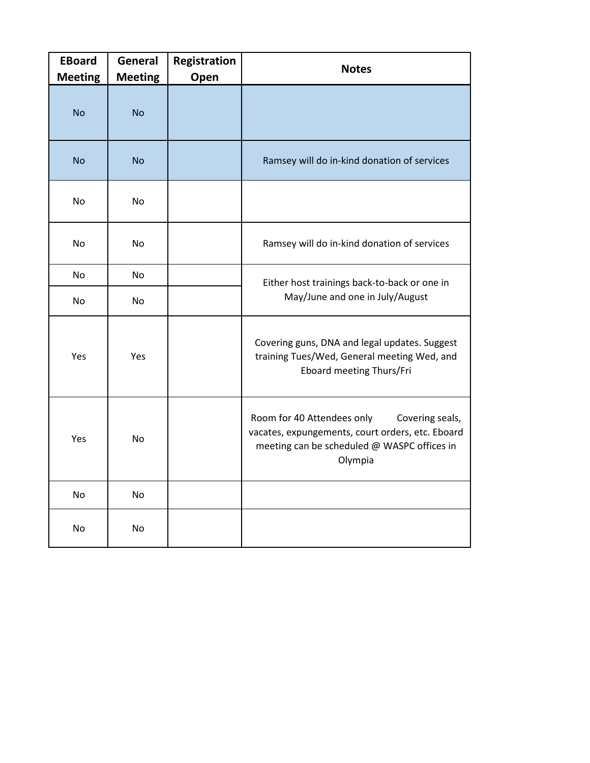| <b>EBoard</b><br><b>Meeting</b> | General<br><b>Meeting</b> | Registration<br>Open | <b>Notes</b>                                                                                                                                                |  |
|---------------------------------|---------------------------|----------------------|-------------------------------------------------------------------------------------------------------------------------------------------------------------|--|
| <b>No</b>                       | <b>No</b>                 |                      |                                                                                                                                                             |  |
| <b>No</b>                       | <b>No</b>                 |                      | Ramsey will do in-kind donation of services                                                                                                                 |  |
| No                              | N <sub>o</sub>            |                      |                                                                                                                                                             |  |
| No                              | No                        |                      | Ramsey will do in-kind donation of services                                                                                                                 |  |
| <b>No</b>                       | No                        |                      | Either host trainings back-to-back or one in<br>May/June and one in July/August                                                                             |  |
| No.                             | No                        |                      |                                                                                                                                                             |  |
| Yes                             | Yes                       |                      | Covering guns, DNA and legal updates. Suggest<br>training Tues/Wed, General meeting Wed, and<br>Eboard meeting Thurs/Fri                                    |  |
| Yes                             | <b>No</b>                 |                      | Room for 40 Attendees only<br>Covering seals,<br>vacates, expungements, court orders, etc. Eboard<br>meeting can be scheduled @ WASPC offices in<br>Olympia |  |
| No                              | No                        |                      |                                                                                                                                                             |  |
| No                              | No                        |                      |                                                                                                                                                             |  |